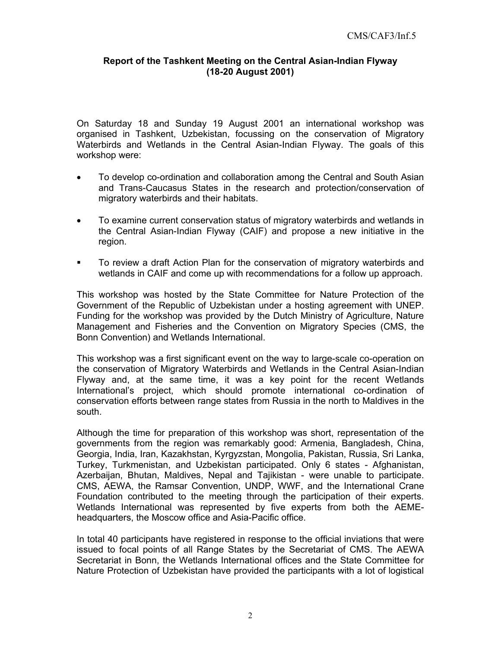## **Report of the Tashkent Meeting on the Central Asian-Indian Flyway (18-20 August 2001)**

On Saturday 18 and Sunday 19 August 2001 an international workshop was organised in Tashkent, Uzbekistan, focussing on the conservation of Migratory Waterbirds and Wetlands in the Central Asian-Indian Flyway. The goals of this workshop were:

- To develop co-ordination and collaboration among the Central and South Asian and Trans-Caucasus States in the research and protection/conservation of migratory waterbirds and their habitats.
- To examine current conservation status of migratory waterbirds and wetlands in the Central Asian-Indian Flyway (CAIF) and propose a new initiative in the region.
- **To review a draft Action Plan for the conservation of migratory waterbirds and** wetlands in CAIF and come up with recommendations for a follow up approach.

This workshop was hosted by the State Committee for Nature Protection of the Government of the Republic of Uzbekistan under a hosting agreement with UNEP. Funding for the workshop was provided by the Dutch Ministry of Agriculture, Nature Management and Fisheries and the Convention on Migratory Species (CMS, the Bonn Convention) and Wetlands International.

This workshop was a first significant event on the way to large-scale co-operation on the conservation of Migratory Waterbirds and Wetlands in the Central Asian-Indian Flyway and, at the same time, it was a key point for the recent Wetlands International's project, which should promote international co-ordination of conservation efforts between range states from Russia in the north to Maldives in the south.

Although the time for preparation of this workshop was short, representation of the governments from the region was remarkably good: Armenia, Bangladesh, China, Georgia, India, Iran, Kazakhstan, Kyrgyzstan, Mongolia, Pakistan, Russia, Sri Lanka, Turkey, Turkmenistan, and Uzbekistan participated. Only 6 states - Afghanistan, Azerbaijan, Bhutan, Maldives, Nepal and Tajikistan - were unable to participate. CMS, AEWA, the Ramsar Convention, UNDP, WWF, and the International Crane Foundation contributed to the meeting through the participation of their experts. Wetlands International was represented by five experts from both the AEMEheadquarters, the Moscow office and Asia-Pacific office.

In total 40 participants have registered in response to the official inviations that were issued to focal points of all Range States by the Secretariat of CMS. The AEWA Secretariat in Bonn, the Wetlands International offices and the State Committee for Nature Protection of Uzbekistan have provided the participants with a lot of logistical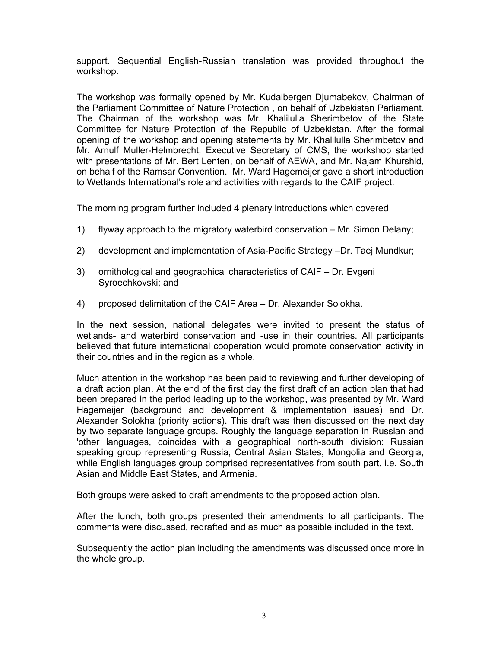support. Sequential English-Russian translation was provided throughout the workshop.

The workshop was formally opened by Mr. Kudaibergen Djumabekov, Chairman of the Parliament Committee of Nature Protection , on behalf of Uzbekistan Parliament. The Chairman of the workshop was Mr. Khalilulla Sherimbetov of the State Committee for Nature Protection of the Republic of Uzbekistan. After the formal opening of the workshop and opening statements by Mr. Khalilulla Sherimbetov and Mr. Arnulf Muller-Helmbrecht, Executive Secretary of CMS, the workshop started with presentations of Mr. Bert Lenten, on behalf of AEWA, and Mr. Najam Khurshid, on behalf of the Ramsar Convention. Mr. Ward Hagemeijer gave a short introduction to Wetlands International's role and activities with regards to the CAIF project.

The morning program further included 4 plenary introductions which covered

- 1) flyway approach to the migratory waterbird conservation Mr. Simon Delany;
- 2) development and implementation of Asia-Pacific Strategy –Dr. Taej Mundkur;
- 3) ornithological and geographical characteristics of CAIF Dr. Evgeni Syroechkovski; and
- 4) proposed delimitation of the CAIF Area Dr. Alexander Solokha.

In the next session, national delegates were invited to present the status of wetlands- and waterbird conservation and -use in their countries. All participants believed that future international cooperation would promote conservation activity in their countries and in the region as a whole.

Much attention in the workshop has been paid to reviewing and further developing of a draft action plan. At the end of the first day the first draft of an action plan that had been prepared in the period leading up to the workshop, was presented by Mr. Ward Hagemeijer (background and development & implementation issues) and Dr. Alexander Solokha (priority actions). This draft was then discussed on the next day by two separate language groups. Roughly the language separation in Russian and 'other languages, coincides with a geographical north-south division: Russian speaking group representing Russia, Central Asian States, Mongolia and Georgia, while English languages group comprised representatives from south part, i.e. South Asian and Middle East States, and Armenia.

Both groups were asked to draft amendments to the proposed action plan.

After the lunch, both groups presented their amendments to all participants. The comments were discussed, redrafted and as much as possible included in the text.

Subsequently the action plan including the amendments was discussed once more in the whole group.